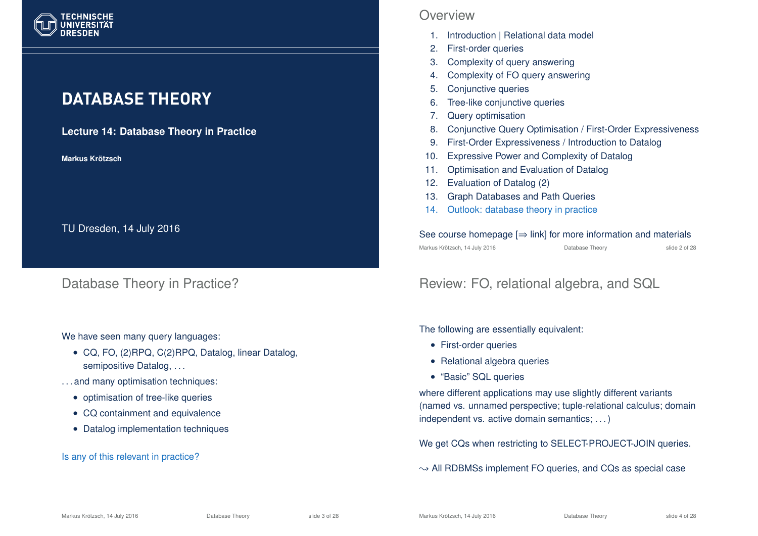

# **DATABASE THEORY**

#### **Lecture 14: Database Theory in Practice**

**Markus Krotzsch ¨**

TU Dresden, 14 July 2016

## Database Theory in Practice?

#### We have seen many query languages:

- CQ, FO, (2)RPQ, C(2)RPQ, Datalog, linear Datalog, semipositive Datalog, ...
- . . . and many optimisation techniques:
	- optimisation of tree-like queries
	- CQ containment and equivalence
	- Datalog implementation techniques

#### Is any of this relevant in practice?

## **Overview**

- 1. Introduction | Relational data model
- 2. First-order queries
- 3. Complexity of query answering
- 4. Complexity of FO query answering
- 5. Conjunctive queries
- 6. Tree-like conjunctive queries
- 7. Query optimisation
- 8. Conjunctive Query Optimisation / First-Order Expressiveness
- 9. First-Order Expressiveness / Introduction to Datalog
- 10. Expressive Power and Complexity of Datalog
- 11. Optimisation and Evaluation of Datalog
- 12. Evaluation of Datalog (2)
- 13. Graph Databases and Path Queries
- 14. Outlook: database theory in practice

#### See course homepage  $[\Rightarrow$  link] for more information and materials Markus Krötzsch, 14 July 2016 Database Theory slide 2 of 28

# Review: FO, relational algebra, and SQL

The following are essentially equivalent:

- First-order queries
- Relational algebra queries
- "Basic" SQL queries

where different applications may use slightly different variants (named vs. unnamed perspective; tuple-relational calculus; domain independent vs. active domain semantics; . . . )

We get CQs when restricting to SELECT-PROJECT-JOIN queries.

 $\rightarrow$  All RDBMSs implement FO queries, and CQs as special case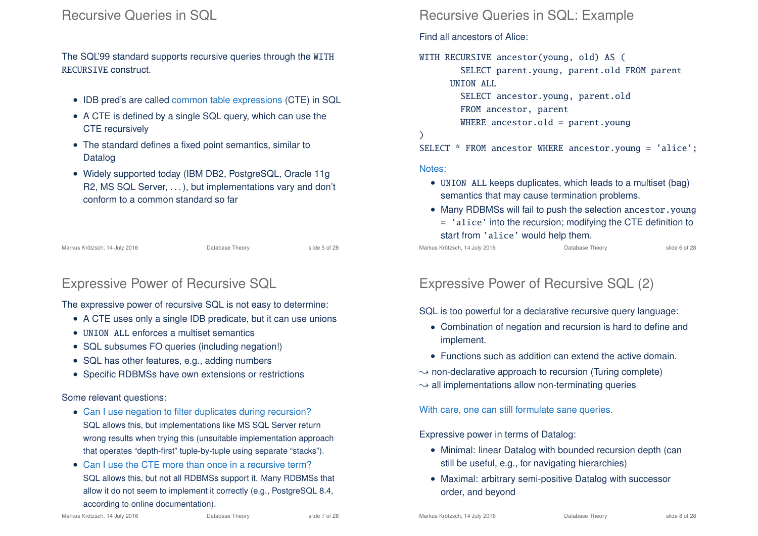## Recursive Queries in SQL

The SQL'99 standard supports recursive queries through the WITH RECURSIVE construct.

- IDB pred's are called common table expressions (CTE) in SQL
- A CTE is defined by a single SQL query, which can use the CTE recursively
- The standard defines a fixed point semantics, similar to Datalog
- Widely supported today (IBM DB2, PostgreSQL, Oracle 11g R2, MS SQL Server, . . . ), but implementations vary and don't conform to a common standard so far

Markus Krötzsch, 14 July 2016 **Database Theory** Slide 5 of 28

# Expressive Power of Recursive SQL

The expressive power of recursive SQL is not easy to determine:

- A CTE uses only a single IDB predicate, but it can use unions
- UNION ALL enforces a multiset semantics
- SQL subsumes FO queries (including negation!)
- SQL has other features, e.g., adding numbers
- Specific RDBMSs have own extensions or restrictions

#### Some relevant questions:

- Can I use negation to filter duplicates during recursion? SQL allows this, but implementations like MS SQL Server return wrong results when trying this (unsuitable implementation approach that operates "depth-first" tuple-by-tuple using separate "stacks").
- Can I use the CTE more than once in a recursive term? SQL allows this, but not all RDBMSs support it. Many RDBMSs that allow it do not seem to implement it correctly (e.g., PostgreSQL 8.4, according to online documentation).

#### Markus Krötzsch, 14 July 2016 **Database Theory** Slide 7 of 28

## Recursive Queries in SQL: Example

Find all ancestors of Alice:

### WITH RECURSIVE ancestor(young, old) AS ( SELECT parent.young, parent.old FROM parent UNION ALL SELECT ancestor.young, parent.old FROM ancestor, parent WHERE ancestor.old = parent.young ) SELECT \* FROM ancestor WHERE ancestor.young = 'alice';

#### Notes:

- UNION ALL keeps duplicates, which leads to a multiset (bag) semantics that may cause termination problems.
- Many RDBMSs will fail to push the selection ancestor, young = 'alice' into the recursion; modifying the CTE definition to start from 'alice' would help them.

Markus Krötzsch, 14 July 2016 **Database Theory** Slide 6 of 28

# Expressive Power of Recursive SQL (2)

SQL is too powerful for a declarative recursive query language:

- Combination of negation and recursion is hard to define and implement.
- Functions such as addition can extend the active domain.
- $\rightarrow$  non-declarative approach to recursion (Turing complete)  $\rightarrow$  all implementations allow non-terminating queries

With care, one can still formulate sane queries.

Expressive power in terms of Datalog:

- Minimal: linear Datalog with bounded recursion depth (can still be useful, e.g., for navigating hierarchies)
- Maximal: arbitrary semi-positive Datalog with successor order, and beyond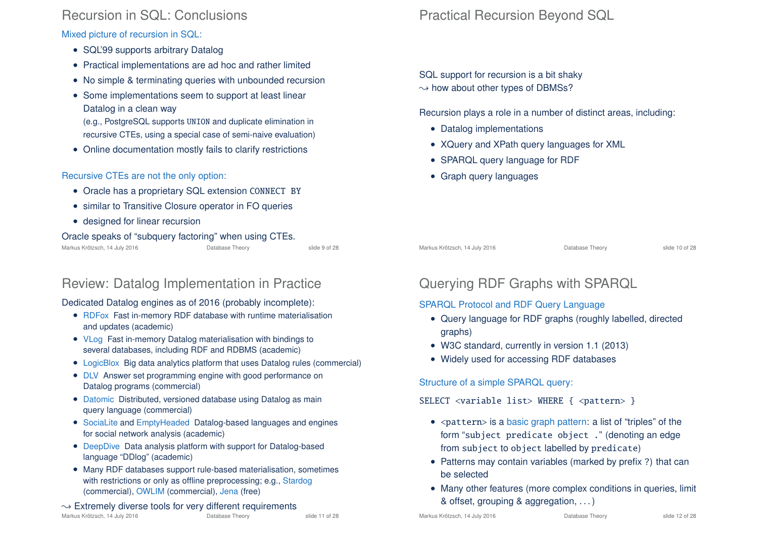## Recursion in SQL: Conclusions

Mixed picture of recursion in SQL:

- SQL'99 supports arbitrary Datalog
- Practical implementations are ad hoc and rather limited
- No simple & terminating queries with unbounded recursion
- Some implementations seem to support at least linear Datalog in a clean way

(e.g., PostgreSQL supports UNION and duplicate elimination in recursive CTEs, using a special case of semi-naive evaluation)

• Online documentation mostly fails to clarify restrictions

### Recursive CTEs are not the only option:

- Oracle has a proprietary SQL extension CONNECT BY
- similar to Transitive Closure operator in FO queries
- designed for linear recursion

#### Oracle speaks of "subquery factoring" when using CTEs.

Markus Krötzsch, 14 July 2016 Database Theory slide 9 of 28

# Review: Datalog Implementation in Practice

### Dedicated Datalog engines as of 2016 (probably incomplete):

- RDFox Fast in-memory RDF database with runtime materialisation and updates (academic)
- VLog Fast in-memory Datalog materialisation with bindings to several databases, including RDF and RDBMS (academic)
- LogicBlox Big data analytics platform that uses Datalog rules (commercial)
- DLV Answer set programming engine with good performance on Datalog programs (commercial)
- Datomic Distributed, versioned database using Datalog as main query language (commercial)
- SociaLite and EmptyHeaded Datalog-based languages and engines for social network analysis (academic)
- DeepDive Data analysis platform with support for Datalog-based language "DDlog" (academic)
- Many RDF databases support rule-based materialisation, sometimes with restrictions or only as offline preprocessing; e.g., Stardog (commercial), OWLIM (commercial), Jena (free)

# $\rightarrow$  Extremely diverse tools for very different requirements<br>Markus Krötzsch. 14 July 2016

Markus Krötzsch, 14 July 2016 **Database Theory** Slide 11 of 28

# Practical Recursion Beyond SQL

SQL support for recursion is a bit shaky  $\rightarrow$  how about other types of DBMSs?

Recursion plays a role in a number of distinct areas, including:

- Datalog implementations
- XQuery and XPath query languages for XML
- SPARQL query language for RDF
- Graph query languages

Markus Krötzsch, 14 July 2016 **Database Theory** Slide 10 of 28

# Querying RDF Graphs with SPARQL

#### SPARQL Protocol and RDF Query Language

- Query language for RDF graphs (roughly labelled, directed graphs)
- W3C standard, currently in version 1.1 (2013)
- Widely used for accessing RDF databases

Structure of a simple SPARQL query:

#### SELECT <variable list> WHERE { <pattern> }

- $\bullet$  <pattern> is a basic graph pattern: a list of "triples" of the form "subject predicate object ." (denoting an edge from subject to object labelled by predicate)
- Patterns may contain variables (marked by prefix ?) that can be selected
- Many other features (more complex conditions in queries, limit & offset, grouping & aggregation, . . . )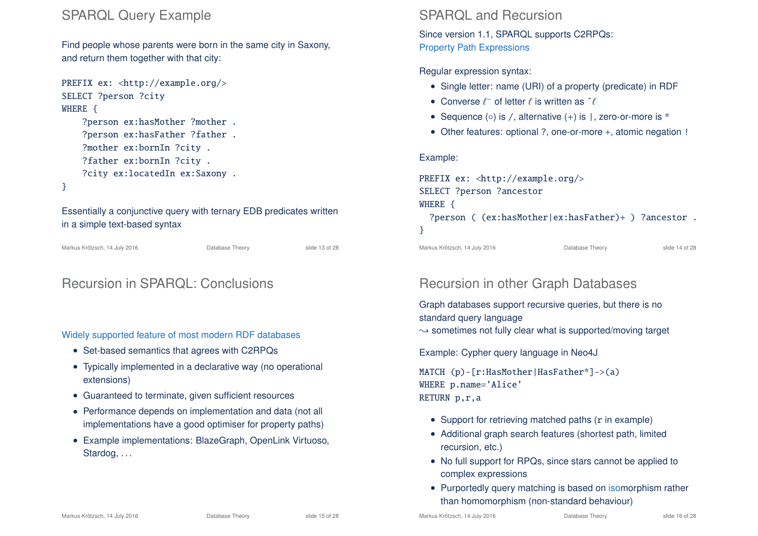## SPARQL Query Example

Find people whose parents were born in the same city in Saxony, and return them together with that city:

```
PREFIX ex: <http://example.org/>
SELECT ?person ?city
WHERE {
    ?person ex:hasMother ?mother .
    ?person ex:hasFather ?father .
    ?mother ex:bornIn ?city .
    ?father ex:bornIn ?city .
    ?city ex:locatedIn ex:Saxony .
}
```
Essentially a conjunctive query with ternary EDB predicates written in a simple text-based syntax

Markus Krötzsch, 14 July 2016 **Database Theory** Slide 13 of 28

# Recursion in SPARQL: Conclusions

Widely supported feature of most modern RDF databases

- Set-based semantics that agrees with C2RPQs
- Typically implemented in a declarative way (no operational extensions)
- Guaranteed to terminate, given sufficient resources
- Performance depends on implementation and data (not all implementations have a good optimiser for property paths)
- Example implementations: BlazeGraph, OpenLink Virtuoso, Stardog, ...

## SPARQL and Recursion

Since version 1.1, SPARQL supports C2RPQs: Property Path Expressions

Regular expression syntax:

- Single letter: name (URI) of a property (predicate) in RDF
- Converse  $\ell^-$  of letter  $\ell$  is written as  $\hat{\ell}$
- Sequence (◦) is /, alternative (+) is |, zero-or-more is \*
- Other features: optional ?, one-or-more +, atomic negation !

#### Example:

PREFIX ex: <http://example.org/> SELECT ?person ?ancestor WHERE { ?person ( (ex:hasMother|ex:hasFather)+ ) ?ancestor . }

Markus Krötzsch, 14 July 2016 **Database Theory** Slide 14 of 28

# Recursion in other Graph Databases

Graph databases support recursive queries, but there is no standard query language

 $\rightarrow$  sometimes not fully clear what is supported/moving target

Example: Cypher query language in Neo4J

MATCH (p)-[r:HasMother|HasFather\*]->(a) WHERE p.name='Alice' RETURN p,r,a

- Support for retrieving matched paths (r in example)
- Additional graph search features (shortest path, limited recursion, etc.)
- No full support for RPQs, since stars cannot be applied to complex expressions
- Purportedly query matching is based on isomorphism rather than homomorphism (non-standard behaviour)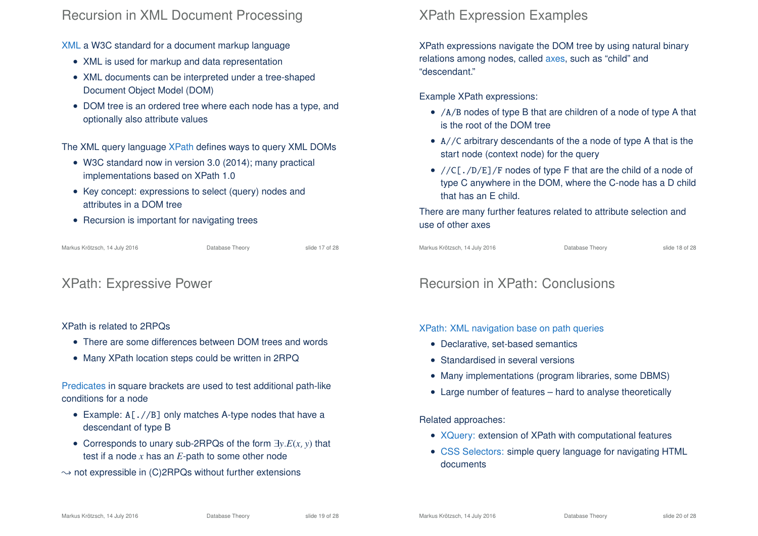## Recursion in XML Document Processing

XML a W3C standard for a document markup language

- XML is used for markup and data representation
- XML documents can be interpreted under a tree-shaped Document Object Model (DOM)
- DOM tree is an ordered tree where each node has a type, and optionally also attribute values

The XML query language XPath defines ways to query XML DOMs

- W3C standard now in version 3.0 (2014); many practical implementations based on XPath 1.0
- Key concept: expressions to select (query) nodes and attributes in a DOM tree
- Recursion is important for navigating trees

Markus Krötzsch, 14 July 2016 Database Theory slide 17 of 28

# XPath: Expressive Power

#### XPath is related to 2RPQs

- There are some differences between DOM trees and words
- Many XPath location steps could be written in 2RPQ

Predicates in square brackets are used to test additional path-like conditions for a node

- Example: A<sub>[.</sub>//B<sub>]</sub> only matches A-type nodes that have a descendant of type B
- Corresponds to unary sub-2RPQs of the form ∃*y*.*E*(*x*, *y*) that test if a node *x* has an *E*-path to some other node
- $\rightarrow$  not expressible in (C)2RPQs without further extensions

# XPath Expression Examples

XPath expressions navigate the DOM tree by using natural binary relations among nodes, called axes, such as "child" and "descendant."

Example XPath expressions:

- /A/B nodes of type B that are children of a node of type A that is the root of the DOM tree
- A//C arbitrary descendants of the a node of type A that is the start node (context node) for the query
- //C[./D/E]/F nodes of type F that are the child of a node of type C anywhere in the DOM, where the C-node has a D child that has an E child.

There are many further features related to attribute selection and use of other axes

Markus Krötzsch, 14 July 2016 **Database Theory** Slide 18 of 28

# Recursion in XPath: Conclusions

XPath: XML navigation base on path queries

- Declarative, set-based semantics
- Standardised in several versions
- Many implementations (program libraries, some DBMS)
- Large number of features hard to analyse theoretically

Related approaches:

- XQuery: extension of XPath with computational features
- CSS Selectors: simple query language for navigating HTML documents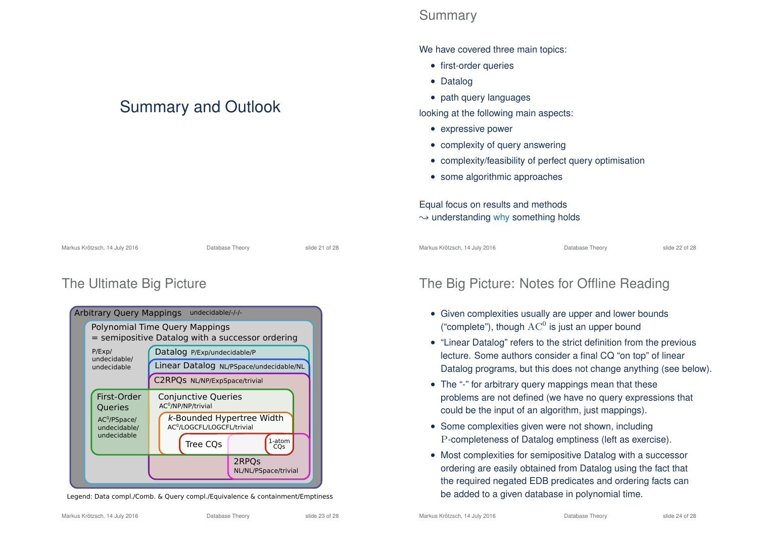# Summary and Outlook

Markus Krötzsch, 14 July 2016 **Database Theory** Slide 21 of 28

## Summary

We have covered three main topics:

- first-order queries
- Datalog
- path query languages

looking at the following main aspects:

- expressive power
- complexity of query answering
- complexity/feasibility of perfect query optimisation
- some algorithmic approaches

## Equal focus on results and methods

 $\rightarrow$  understanding why something holds

Markus Krötzsch, 14 July 2016 Database Theory slide 22 of 28

# The Ultimate Big Picture



Legend: Data compl./Comb. & Query compl./Equivalence & containment/Emptiness

# The Big Picture: Notes for Offline Reading

- Given complexities usually are upper and lower bounds ("complete"), though  $\operatorname{AC}^0$  is just an upper bound
- "Linear Datalog" refers to the strict definition from the previous lecture. Some authors consider a final CQ "on top" of linear Datalog programs, but this does not change anything (see below).
- The "-" for arbitrary query mappings mean that these problems are not defined (we have no query expressions that could be the input of an algorithm, just mappings).
- Some complexities given were not shown, including P-completeness of Datalog emptiness (left as exercise).
- Most complexities for semipositive Datalog with a successor ordering are easily obtained from Datalog using the fact that the required negated EDB predicates and ordering facts can be added to a given database in polynomial time.